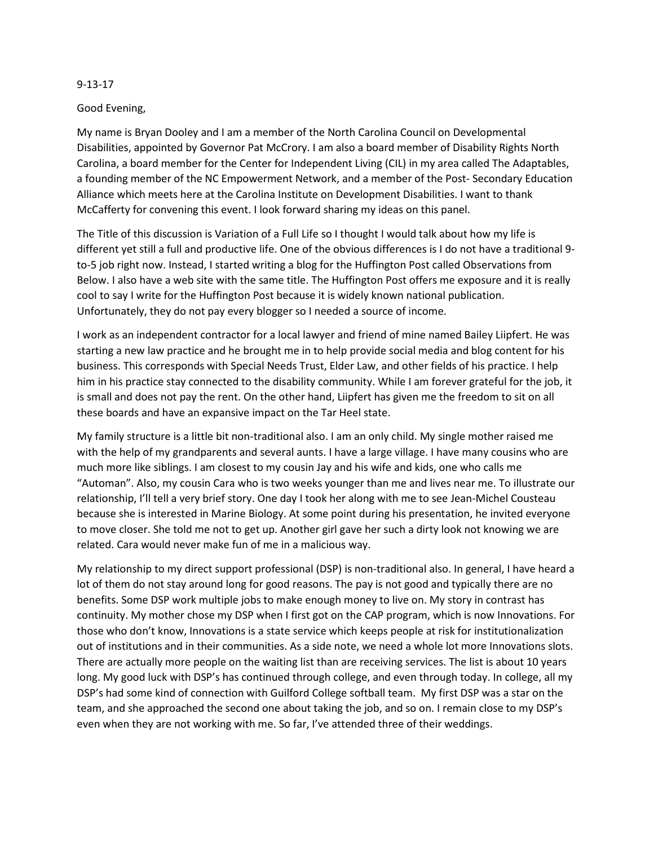## 9-13-17

## Good Evening,

My name is Bryan Dooley and I am a member of the North Carolina Council on Developmental Disabilities, appointed by Governor Pat McCrory. I am also a board member of Disability Rights North Carolina, a board member for the Center for Independent Living (CIL) in my area called The Adaptables, a founding member of the NC Empowerment Network, and a member of the Post- Secondary Education Alliance which meets here at the Carolina Institute on Development Disabilities. I want to thank McCafferty for convening this event. I look forward sharing my ideas on this panel.

The Title of this discussion is Variation of a Full Life so I thought I would talk about how my life is different yet still a full and productive life. One of the obvious differences is I do not have a traditional 9 to-5 job right now. Instead, I started writing a blog for the Huffington Post called Observations from Below. I also have a web site with the same title. The Huffington Post offers me exposure and it is really cool to say I write for the Huffington Post because it is widely known national publication. Unfortunately, they do not pay every blogger so I needed a source of income.

I work as an independent contractor for a local lawyer and friend of mine named Bailey Liipfert. He was starting a new law practice and he brought me in to help provide social media and blog content for his business. This corresponds with Special Needs Trust, Elder Law, and other fields of his practice. I help him in his practice stay connected to the disability community. While I am forever grateful for the job, it is small and does not pay the rent. On the other hand, Liipfert has given me the freedom to sit on all these boards and have an expansive impact on the Tar Heel state.

My family structure is a little bit non-traditional also. I am an only child. My single mother raised me with the help of my grandparents and several aunts. I have a large village. I have many cousins who are much more like siblings. I am closest to my cousin Jay and his wife and kids, one who calls me "Automan". Also, my cousin Cara who is two weeks younger than me and lives near me. To illustrate our relationship, I'll tell a very brief story. One day I took her along with me to see Jean-Michel Cousteau because she is interested in Marine Biology. At some point during his presentation, he invited everyone to move closer. She told me not to get up. Another girl gave her such a dirty look not knowing we are related. Cara would never make fun of me in a malicious way.

My relationship to my direct support professional (DSP) is non-traditional also. In general, I have heard a lot of them do not stay around long for good reasons. The pay is not good and typically there are no benefits. Some DSP work multiple jobs to make enough money to live on. My story in contrast has continuity. My mother chose my DSP when I first got on the CAP program, which is now Innovations. For those who don't know, Innovations is a state service which keeps people at risk for institutionalization out of institutions and in their communities. As a side note, we need a whole lot more Innovations slots. There are actually more people on the waiting list than are receiving services. The list is about 10 years long. My good luck with DSP's has continued through college, and even through today. In college, all my DSP's had some kind of connection with Guilford College softball team. My first DSP was a star on the team, and she approached the second one about taking the job, and so on. I remain close to my DSP's even when they are not working with me. So far, I've attended three of their weddings.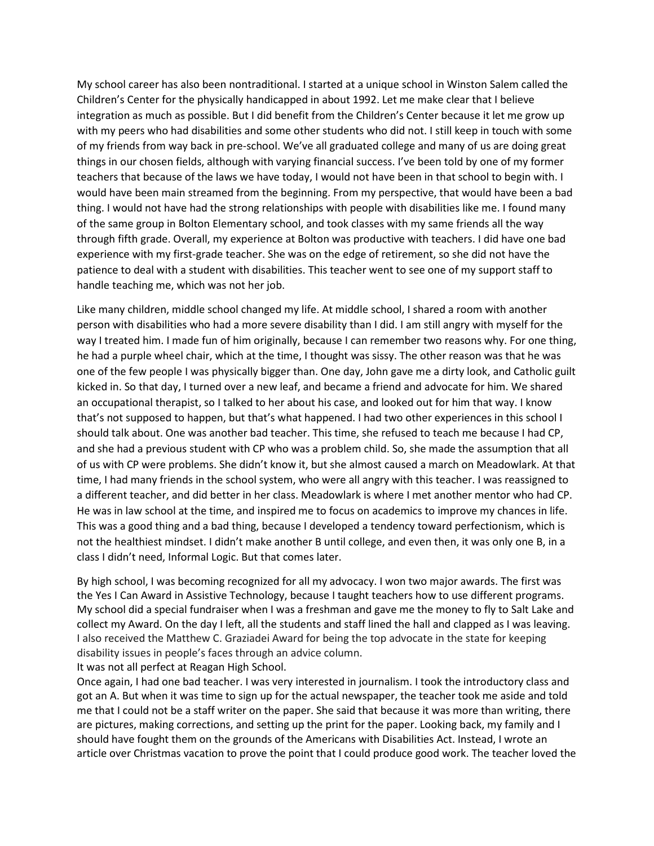My school career has also been nontraditional. I started at a unique school in Winston Salem called the Children's Center for the physically handicapped in about 1992. Let me make clear that I believe integration as much as possible. But I did benefit from the Children's Center because it let me grow up with my peers who had disabilities and some other students who did not. I still keep in touch with some of my friends from way back in pre-school. We've all graduated college and many of us are doing great things in our chosen fields, although with varying financial success. I've been told by one of my former teachers that because of the laws we have today, I would not have been in that school to begin with. I would have been main streamed from the beginning. From my perspective, that would have been a bad thing. I would not have had the strong relationships with people with disabilities like me. I found many of the same group in Bolton Elementary school, and took classes with my same friends all the way through fifth grade. Overall, my experience at Bolton was productive with teachers. I did have one bad experience with my first-grade teacher. She was on the edge of retirement, so she did not have the patience to deal with a student with disabilities. This teacher went to see one of my support staff to handle teaching me, which was not her job.

Like many children, middle school changed my life. At middle school, I shared a room with another person with disabilities who had a more severe disability than I did. I am still angry with myself for the way I treated him. I made fun of him originally, because I can remember two reasons why. For one thing, he had a purple wheel chair, which at the time, I thought was sissy. The other reason was that he was one of the few people I was physically bigger than. One day, John gave me a dirty look, and Catholic guilt kicked in. So that day, I turned over a new leaf, and became a friend and advocate for him. We shared an occupational therapist, so I talked to her about his case, and looked out for him that way. I know that's not supposed to happen, but that's what happened. I had two other experiences in this school I should talk about. One was another bad teacher. This time, she refused to teach me because I had CP, and she had a previous student with CP who was a problem child. So, she made the assumption that all of us with CP were problems. She didn't know it, but she almost caused a march on Meadowlark. At that time, I had many friends in the school system, who were all angry with this teacher. I was reassigned to a different teacher, and did better in her class. Meadowlark is where I met another mentor who had CP. He was in law school at the time, and inspired me to focus on academics to improve my chances in life. This was a good thing and a bad thing, because I developed a tendency toward perfectionism, which is not the healthiest mindset. I didn't make another B until college, and even then, it was only one B, in a class I didn't need, Informal Logic. But that comes later.

By high school, I was becoming recognized for all my advocacy. I won two major awards. The first was the Yes I Can Award in Assistive Technology, because I taught teachers how to use different programs. My school did a special fundraiser when I was a freshman and gave me the money to fly to Salt Lake and collect my Award. On the day I left, all the students and staff lined the hall and clapped as I was leaving. I also received the Matthew C. Graziadei Award for being the top advocate in the state for keeping disability issues in people's faces through an advice column.

It was not all perfect at Reagan High School.

Once again, I had one bad teacher. I was very interested in journalism. I took the introductory class and got an A. But when it was time to sign up for the actual newspaper, the teacher took me aside and told me that I could not be a staff writer on the paper. She said that because it was more than writing, there are pictures, making corrections, and setting up the print for the paper. Looking back, my family and I should have fought them on the grounds of the Americans with Disabilities Act. Instead, I wrote an article over Christmas vacation to prove the point that I could produce good work. The teacher loved the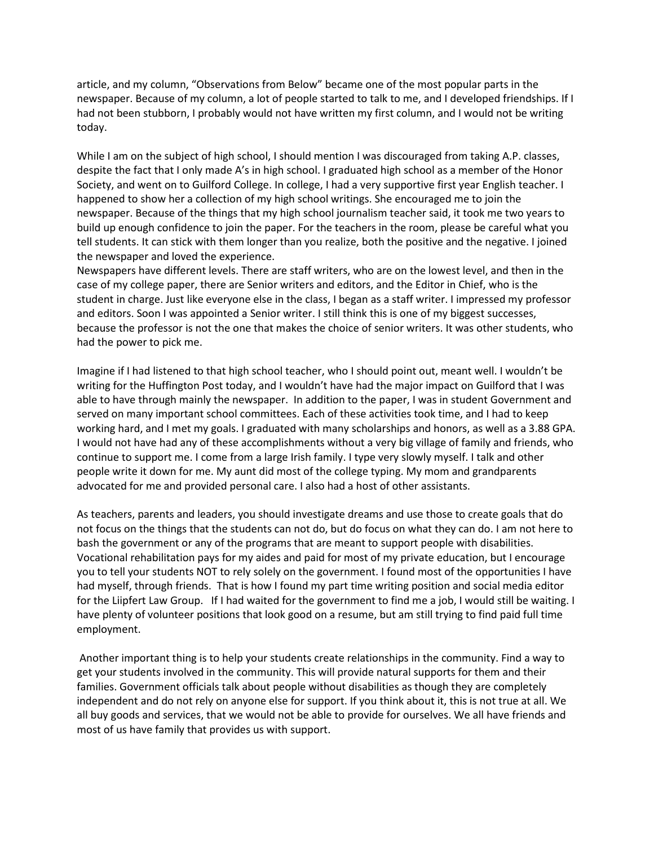article, and my column, "Observations from Below" became one of the most popular parts in the newspaper. Because of my column, a lot of people started to talk to me, and I developed friendships. If I had not been stubborn, I probably would not have written my first column, and I would not be writing today.

While I am on the subject of high school, I should mention I was discouraged from taking A.P. classes, despite the fact that I only made A's in high school. I graduated high school as a member of the Honor Society, and went on to Guilford College. In college, I had a very supportive first year English teacher. I happened to show her a collection of my high school writings. She encouraged me to join the newspaper. Because of the things that my high school journalism teacher said, it took me two years to build up enough confidence to join the paper. For the teachers in the room, please be careful what you tell students. It can stick with them longer than you realize, both the positive and the negative. I joined the newspaper and loved the experience.

Newspapers have different levels. There are staff writers, who are on the lowest level, and then in the case of my college paper, there are Senior writers and editors, and the Editor in Chief, who is the student in charge. Just like everyone else in the class, I began as a staff writer. I impressed my professor and editors. Soon I was appointed a Senior writer. I still think this is one of my biggest successes, because the professor is not the one that makes the choice of senior writers. It was other students, who had the power to pick me.

Imagine if I had listened to that high school teacher, who I should point out, meant well. I wouldn't be writing for the Huffington Post today, and I wouldn't have had the major impact on Guilford that I was able to have through mainly the newspaper. In addition to the paper, I was in student Government and served on many important school committees. Each of these activities took time, and I had to keep working hard, and I met my goals. I graduated with many scholarships and honors, as well as a 3.88 GPA. I would not have had any of these accomplishments without a very big village of family and friends, who continue to support me. I come from a large Irish family. I type very slowly myself. I talk and other people write it down for me. My aunt did most of the college typing. My mom and grandparents advocated for me and provided personal care. I also had a host of other assistants.

As teachers, parents and leaders, you should investigate dreams and use those to create goals that do not focus on the things that the students can not do, but do focus on what they can do. I am not here to bash the government or any of the programs that are meant to support people with disabilities. Vocational rehabilitation pays for my aides and paid for most of my private education, but I encourage you to tell your students NOT to rely solely on the government. I found most of the opportunities I have had myself, through friends. That is how I found my part time writing position and social media editor for the Liipfert Law Group. If I had waited for the government to find me a job, I would still be waiting. I have plenty of volunteer positions that look good on a resume, but am still trying to find paid full time employment.

Another important thing is to help your students create relationships in the community. Find a way to get your students involved in the community. This will provide natural supports for them and their families. Government officials talk about people without disabilities as though they are completely independent and do not rely on anyone else for support. If you think about it, this is not true at all. We all buy goods and services, that we would not be able to provide for ourselves. We all have friends and most of us have family that provides us with support.